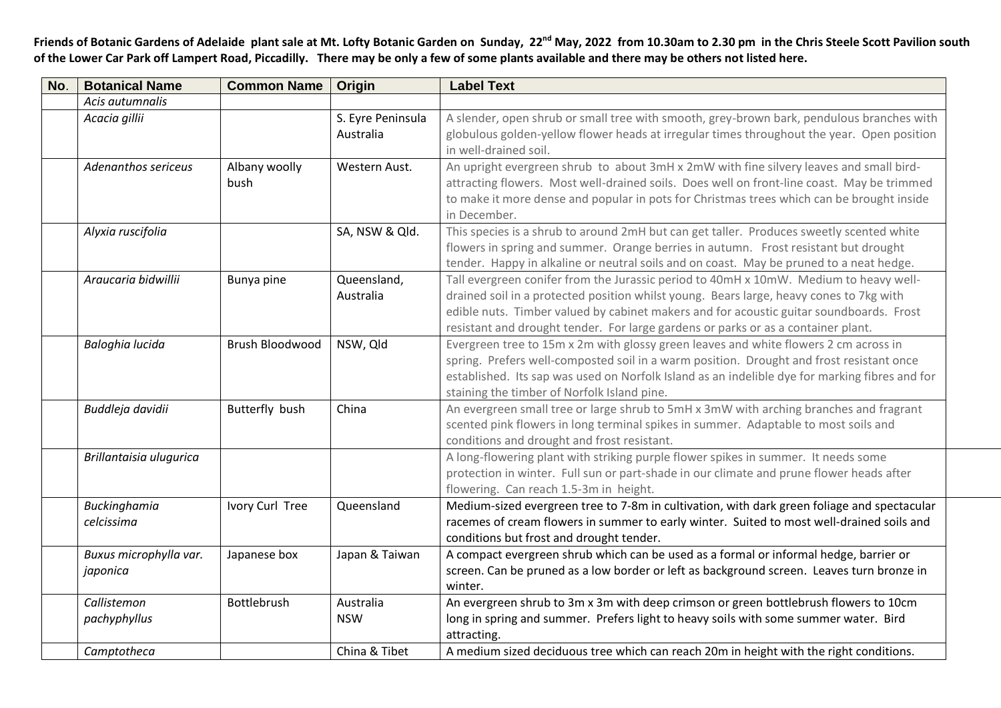Friends of Botanic Gardens of Adelaide plant sale at Mt. Lofty Botanic Garden on Sunday, 22<sup>nd</sup> May, 2022 from 10.30am to 2.30 pm in the Chris Steele Scott Pavilion south **of the Lower Car Park off Lampert Road, Piccadilly. There may be only a few of some plants available and there may be others not listed here.**

| No. | <b>Botanical Name</b>   | <b>Common Name</b> | Origin            | <b>Label Text</b>                                                                              |
|-----|-------------------------|--------------------|-------------------|------------------------------------------------------------------------------------------------|
|     | Acis autumnalis         |                    |                   |                                                                                                |
|     | Acacia gillii           |                    | S. Eyre Peninsula | A slender, open shrub or small tree with smooth, grey-brown bark, pendulous branches with      |
|     |                         |                    | Australia         | globulous golden-yellow flower heads at irregular times throughout the year. Open position     |
|     |                         |                    |                   | in well-drained soil.                                                                          |
|     | Adenanthos sericeus     | Albany woolly      | Western Aust.     | An upright evergreen shrub to about 3mH x 2mW with fine silvery leaves and small bird-         |
|     |                         | bush               |                   | attracting flowers. Most well-drained soils. Does well on front-line coast. May be trimmed     |
|     |                         |                    |                   | to make it more dense and popular in pots for Christmas trees which can be brought inside      |
|     |                         |                    |                   | in December.                                                                                   |
|     | Alyxia ruscifolia       |                    | SA, NSW & Qld.    | This species is a shrub to around 2mH but can get taller. Produces sweetly scented white       |
|     |                         |                    |                   | flowers in spring and summer. Orange berries in autumn. Frost resistant but drought            |
|     |                         |                    |                   | tender. Happy in alkaline or neutral soils and on coast. May be pruned to a neat hedge.        |
|     | Araucaria bidwillii     | Bunya pine         | Queensland,       | Tall evergreen conifer from the Jurassic period to 40mH x 10mW. Medium to heavy well-          |
|     |                         |                    | Australia         | drained soil in a protected position whilst young. Bears large, heavy cones to 7kg with        |
|     |                         |                    |                   | edible nuts. Timber valued by cabinet makers and for acoustic guitar soundboards. Frost        |
|     |                         |                    |                   | resistant and drought tender. For large gardens or parks or as a container plant.              |
|     | Baloghia lucida         | Brush Bloodwood    | NSW, Qld          | Evergreen tree to 15m x 2m with glossy green leaves and white flowers 2 cm across in           |
|     |                         |                    |                   | spring. Prefers well-composted soil in a warm position. Drought and frost resistant once       |
|     |                         |                    |                   | established. Its sap was used on Norfolk Island as an indelible dye for marking fibres and for |
|     |                         |                    |                   | staining the timber of Norfolk Island pine.                                                    |
|     | Buddleja davidii        | Butterfly bush     | China             | An evergreen small tree or large shrub to 5mH x 3mW with arching branches and fragrant         |
|     |                         |                    |                   | scented pink flowers in long terminal spikes in summer. Adaptable to most soils and            |
|     |                         |                    |                   | conditions and drought and frost resistant.                                                    |
|     | Brillantaisia ulugurica |                    |                   | A long-flowering plant with striking purple flower spikes in summer. It needs some             |
|     |                         |                    |                   | protection in winter. Full sun or part-shade in our climate and prune flower heads after       |
|     |                         |                    |                   | flowering. Can reach 1.5-3m in height.                                                         |
|     | Buckinghamia            | Ivory Curl Tree    | Queensland        | Medium-sized evergreen tree to 7-8m in cultivation, with dark green foliage and spectacular    |
|     | celcissima              |                    |                   | racemes of cream flowers in summer to early winter. Suited to most well-drained soils and      |
|     |                         |                    |                   | conditions but frost and drought tender.                                                       |
|     | Buxus microphylla var.  | Japanese box       | Japan & Taiwan    | A compact evergreen shrub which can be used as a formal or informal hedge, barrier or          |
|     | japonica                |                    |                   | screen. Can be pruned as a low border or left as background screen. Leaves turn bronze in      |
|     |                         |                    |                   | winter.                                                                                        |
|     | Callistemon             | Bottlebrush        | Australia         | An evergreen shrub to 3m x 3m with deep crimson or green bottlebrush flowers to 10cm           |
|     | pachyphyllus            |                    | <b>NSW</b>        | long in spring and summer. Prefers light to heavy soils with some summer water. Bird           |
|     |                         |                    |                   | attracting.                                                                                    |
|     | Camptotheca             |                    | China & Tibet     | A medium sized deciduous tree which can reach 20m in height with the right conditions.         |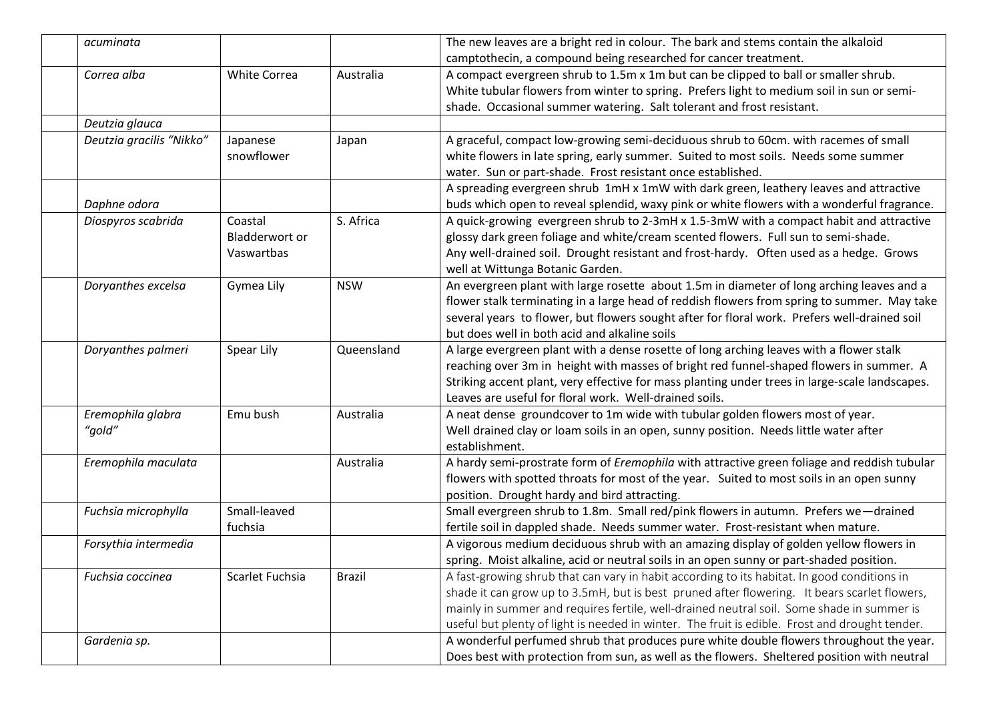| acuminata                |                       |               | The new leaves are a bright red in colour. The bark and stems contain the alkaloid             |
|--------------------------|-----------------------|---------------|------------------------------------------------------------------------------------------------|
|                          |                       |               | camptothecin, a compound being researched for cancer treatment.                                |
| Correa alba              | <b>White Correa</b>   | Australia     | A compact evergreen shrub to 1.5m x 1m but can be clipped to ball or smaller shrub.            |
|                          |                       |               | White tubular flowers from winter to spring. Prefers light to medium soil in sun or semi-      |
|                          |                       |               | shade. Occasional summer watering. Salt tolerant and frost resistant.                          |
| Deutzia glauca           |                       |               |                                                                                                |
| Deutzia gracilis "Nikko" | Japanese              | Japan         | A graceful, compact low-growing semi-deciduous shrub to 60cm. with racemes of small            |
|                          | snowflower            |               | white flowers in late spring, early summer. Suited to most soils. Needs some summer            |
|                          |                       |               | water. Sun or part-shade. Frost resistant once established.                                    |
|                          |                       |               | A spreading evergreen shrub 1mH x 1mW with dark green, leathery leaves and attractive          |
| Daphne odora             |                       |               | buds which open to reveal splendid, waxy pink or white flowers with a wonderful fragrance.     |
| Diospyros scabrida       | Coastal               | S. Africa     | A quick-growing evergreen shrub to 2-3mH x 1.5-3mW with a compact habit and attractive         |
|                          | <b>Bladderwort or</b> |               | glossy dark green foliage and white/cream scented flowers. Full sun to semi-shade.             |
|                          | Vaswartbas            |               | Any well-drained soil. Drought resistant and frost-hardy. Often used as a hedge. Grows         |
|                          |                       |               | well at Wittunga Botanic Garden.                                                               |
| Doryanthes excelsa       | Gymea Lily            | <b>NSW</b>    | An evergreen plant with large rosette about 1.5m in diameter of long arching leaves and a      |
|                          |                       |               | flower stalk terminating in a large head of reddish flowers from spring to summer. May take    |
|                          |                       |               | several years to flower, but flowers sought after for floral work. Prefers well-drained soil   |
|                          |                       |               | but does well in both acid and alkaline soils                                                  |
| Doryanthes palmeri       | Spear Lily            | Queensland    | A large evergreen plant with a dense rosette of long arching leaves with a flower stalk        |
|                          |                       |               | reaching over 3m in height with masses of bright red funnel-shaped flowers in summer. A        |
|                          |                       |               | Striking accent plant, very effective for mass planting under trees in large-scale landscapes. |
|                          |                       |               | Leaves are useful for floral work. Well-drained soils.                                         |
| Eremophila glabra        | Emu bush              | Australia     | A neat dense groundcover to 1m wide with tubular golden flowers most of year.                  |
| "gold"                   |                       |               | Well drained clay or loam soils in an open, sunny position. Needs little water after           |
|                          |                       |               | establishment.                                                                                 |
| Eremophila maculata      |                       | Australia     | A hardy semi-prostrate form of Eremophila with attractive green foliage and reddish tubular    |
|                          |                       |               | flowers with spotted throats for most of the year. Suited to most soils in an open sunny       |
|                          |                       |               | position. Drought hardy and bird attracting.                                                   |
| Fuchsia microphylla      | Small-leaved          |               | Small evergreen shrub to 1.8m. Small red/pink flowers in autumn. Prefers we-drained            |
|                          | fuchsia               |               | fertile soil in dappled shade. Needs summer water. Frost-resistant when mature.                |
| Forsythia intermedia     |                       |               | A vigorous medium deciduous shrub with an amazing display of golden yellow flowers in          |
|                          |                       |               | spring. Moist alkaline, acid or neutral soils in an open sunny or part-shaded position.        |
| Fuchsia coccinea         | Scarlet Fuchsia       | <b>Brazil</b> | A fast-growing shrub that can vary in habit according to its habitat. In good conditions in    |
|                          |                       |               | shade it can grow up to 3.5mH, but is best pruned after flowering. It bears scarlet flowers,   |
|                          |                       |               | mainly in summer and requires fertile, well-drained neutral soil. Some shade in summer is      |
|                          |                       |               | useful but plenty of light is needed in winter. The fruit is edible. Frost and drought tender. |
| Gardenia sp.             |                       |               | A wonderful perfumed shrub that produces pure white double flowers throughout the year.        |
|                          |                       |               | Does best with protection from sun, as well as the flowers. Sheltered position with neutral    |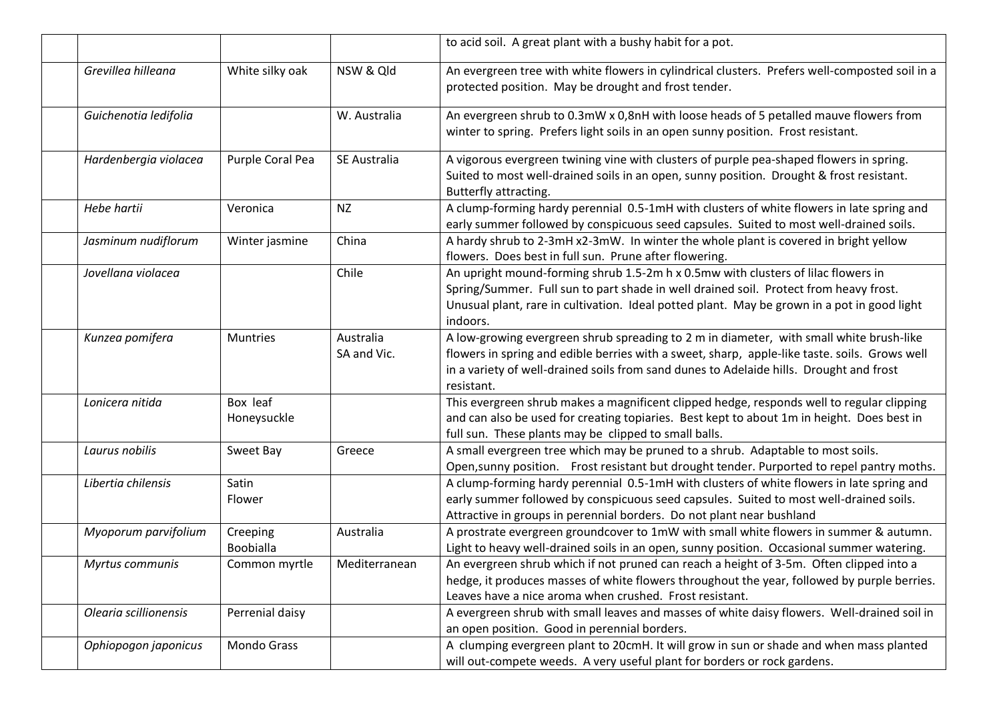|                       |                              |                          | to acid soil. A great plant with a bushy habit for a pot.                                                                                                                                                                                                                                         |
|-----------------------|------------------------------|--------------------------|---------------------------------------------------------------------------------------------------------------------------------------------------------------------------------------------------------------------------------------------------------------------------------------------------|
| Grevillea hilleana    | White silky oak              | NSW & Qld                | An evergreen tree with white flowers in cylindrical clusters. Prefers well-composted soil in a<br>protected position. May be drought and frost tender.                                                                                                                                            |
| Guichenotia ledifolia |                              | W. Australia             | An evergreen shrub to 0.3mW x 0,8nH with loose heads of 5 petalled mauve flowers from<br>winter to spring. Prefers light soils in an open sunny position. Frost resistant.                                                                                                                        |
| Hardenbergia violacea | Purple Coral Pea             | SE Australia             | A vigorous evergreen twining vine with clusters of purple pea-shaped flowers in spring.<br>Suited to most well-drained soils in an open, sunny position. Drought & frost resistant.<br>Butterfly attracting.                                                                                      |
| Hebe hartii           | Veronica                     | <b>NZ</b>                | A clump-forming hardy perennial 0.5-1mH with clusters of white flowers in late spring and<br>early summer followed by conspicuous seed capsules. Suited to most well-drained soils.                                                                                                               |
| Jasminum nudiflorum   | Winter jasmine               | China                    | A hardy shrub to 2-3mH x2-3mW. In winter the whole plant is covered in bright yellow<br>flowers. Does best in full sun. Prune after flowering.                                                                                                                                                    |
| Jovellana violacea    |                              | Chile                    | An upright mound-forming shrub 1.5-2m h x 0.5mw with clusters of lilac flowers in<br>Spring/Summer. Full sun to part shade in well drained soil. Protect from heavy frost.<br>Unusual plant, rare in cultivation. Ideal potted plant. May be grown in a pot in good light<br>indoors.             |
| Kunzea pomifera       | <b>Muntries</b>              | Australia<br>SA and Vic. | A low-growing evergreen shrub spreading to 2 m in diameter, with small white brush-like<br>flowers in spring and edible berries with a sweet, sharp, apple-like taste. soils. Grows well<br>in a variety of well-drained soils from sand dunes to Adelaide hills. Drought and frost<br>resistant. |
| Lonicera nitida       | Box leaf<br>Honeysuckle      |                          | This evergreen shrub makes a magnificent clipped hedge, responds well to regular clipping<br>and can also be used for creating topiaries. Best kept to about 1m in height. Does best in<br>full sun. These plants may be clipped to small balls.                                                  |
| Laurus nobilis        | Sweet Bay                    | Greece                   | A small evergreen tree which may be pruned to a shrub. Adaptable to most soils.<br>Open, sunny position. Frost resistant but drought tender. Purported to repel pantry moths.                                                                                                                     |
| Libertia chilensis    | Satin<br>Flower              |                          | A clump-forming hardy perennial 0.5-1mH with clusters of white flowers in late spring and<br>early summer followed by conspicuous seed capsules. Suited to most well-drained soils.<br>Attractive in groups in perennial borders. Do not plant near bushland                                      |
| Myoporum parvifolium  | Creeping<br><b>Boobialla</b> | Australia                | A prostrate evergreen groundcover to 1mW with small white flowers in summer & autumn.<br>Light to heavy well-drained soils in an open, sunny position. Occasional summer watering.                                                                                                                |
| Myrtus communis       | Common myrtle                | Mediterranean            | An evergreen shrub which if not pruned can reach a height of 3-5m. Often clipped into a<br>hedge, it produces masses of white flowers throughout the year, followed by purple berries.<br>Leaves have a nice aroma when crushed. Frost resistant.                                                 |
| Olearia scillionensis | Perrenial daisy              |                          | A evergreen shrub with small leaves and masses of white daisy flowers. Well-drained soil in<br>an open position. Good in perennial borders.                                                                                                                                                       |
| Ophiopogon japonicus  | Mondo Grass                  |                          | A clumping evergreen plant to 20cmH. It will grow in sun or shade and when mass planted<br>will out-compete weeds. A very useful plant for borders or rock gardens.                                                                                                                               |